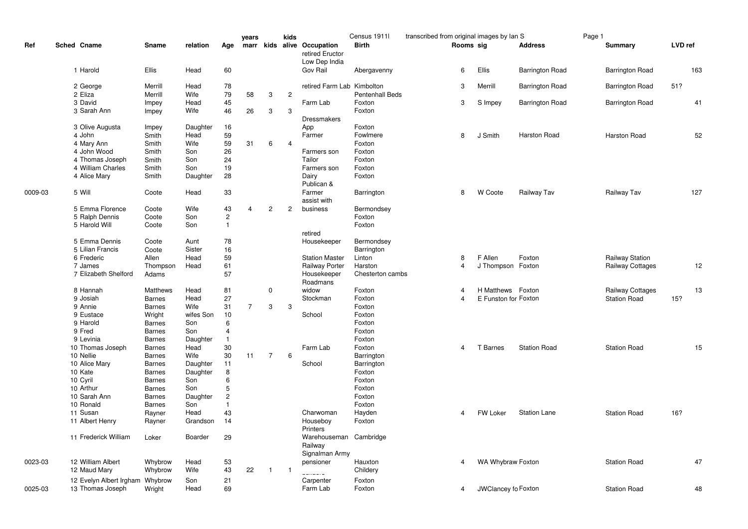|         |                                             |                   |                 |                | years          |                | kids           |                                               | Census 1911l           | transcribed from original images by Ian S |                      |                        | Page 1 |                        |         |     |
|---------|---------------------------------------------|-------------------|-----------------|----------------|----------------|----------------|----------------|-----------------------------------------------|------------------------|-------------------------------------------|----------------------|------------------------|--------|------------------------|---------|-----|
| Ref     | Sched Cname                                 | Sname             | relation        | Age            |                |                |                | marr kids alive Occupation<br>retired Eructor | <b>Birth</b>           | Rooms sig                                 |                      | <b>Address</b>         |        | Summary                | LVD ref |     |
|         | 1 Harold                                    | Ellis             | Head            | 60             |                |                |                | Low Dep India<br>Gov Rail                     | Abergavenny            | 6                                         | Ellis                | <b>Barrington Road</b> |        | Barrington Road        |         | 163 |
|         | 2 George                                    | Merrill           | Head            | 78             |                |                |                | retired Farm Lab                              | Kimbolton              | 3                                         | Merrill              | <b>Barrington Road</b> |        | <b>Barrington Road</b> | 51?     |     |
|         | 2 Eliza                                     | Merrill           | Wife            | 79             | 58             | 3              | $\overline{2}$ |                                               | <b>Pentenhall Beds</b> |                                           |                      |                        |        |                        |         |     |
|         | 3 David                                     | Impey             | Head            | 45             |                |                |                | Farm Lab                                      | Foxton                 | 3                                         | S Impey              | <b>Barrington Road</b> |        | <b>Barrington Road</b> |         | 41  |
|         | 3 Sarah Ann                                 | Impey             | Wife            | 46             | 26             | 3              | 3              | Dressmakers                                   | Foxton                 |                                           |                      |                        |        |                        |         |     |
|         | 3 Olive Augusta                             | Impey             | Daughter        | 16             |                |                |                | App                                           | Foxton                 |                                           |                      |                        |        |                        |         |     |
|         | 4 John                                      | Smith             | Head            | 59             |                |                |                | Farmer                                        | Fowlmere               | 8                                         | J Smith              | <b>Harston Road</b>    |        | Harston Road           |         | 52  |
|         | 4 Mary Ann                                  | Smith             | Wife            | 59             | 31             | 6              | $\overline{4}$ |                                               | Foxton                 |                                           |                      |                        |        |                        |         |     |
|         | 4 John Wood                                 | Smith             | Son             | 26             |                |                |                | Farmers son                                   | Foxton                 |                                           |                      |                        |        |                        |         |     |
|         | 4 Thomas Joseph                             | Smith             | Son             | 24             |                |                |                | Tailor                                        | Foxton                 |                                           |                      |                        |        |                        |         |     |
|         | 4 William Charles                           | Smith             | Son             | 19             |                |                |                | Farmers son                                   | Foxton                 |                                           |                      |                        |        |                        |         |     |
|         | 4 Alice Mary                                | Smith             | Daughter        | 28             |                |                |                | Dairy<br>Publican &                           | Foxton                 |                                           |                      |                        |        |                        |         |     |
| 0009-03 | 5 Will                                      | Coote             | Head            | 33             |                |                |                | Farmer<br>assist with                         | Barrington             | 8                                         | W Coote              | Railway Tav            |        | Railway Tav            |         | 127 |
|         | 5 Emma Florence                             | Coote             | Wife            | 43             | $\overline{4}$ | $\overline{c}$ | $\overline{c}$ | business                                      | Bermondsey             |                                           |                      |                        |        |                        |         |     |
|         | 5 Ralph Dennis                              | Coote             | Son             | $\overline{c}$ |                |                |                |                                               | Foxton                 |                                           |                      |                        |        |                        |         |     |
|         | 5 Harold Will                               |                   | Son             | $\mathbf{1}$   |                |                |                |                                               | Foxton                 |                                           |                      |                        |        |                        |         |     |
|         |                                             | Coote             |                 |                |                |                |                |                                               |                        |                                           |                      |                        |        |                        |         |     |
|         |                                             |                   |                 |                |                |                |                | retired                                       |                        |                                           |                      |                        |        |                        |         |     |
|         | 5 Emma Dennis                               | Coote             | Aunt            | 78             |                |                |                | Housekeeper                                   | Bermondsey             |                                           |                      |                        |        |                        |         |     |
|         | 5 Lilian Francis                            | Coote             | Sister          | 16             |                |                |                |                                               | Barrington             |                                           |                      |                        |        |                        |         |     |
|         | 6 Frederic                                  | Allen             | Head            | 59             |                |                |                | <b>Station Master</b>                         | Linton                 | 8                                         | F Allen              | Foxton                 |        | Railway Station        |         |     |
|         | 7 James                                     | Thompson          | Head            | 61             |                |                |                | Railway Porter                                | Harston                | $\overline{4}$                            | J Thompson Foxton    |                        |        | Railway Cottages       |         | 12  |
|         | 7 Elizabeth Shelford                        | Adams             |                 | 57             |                |                |                | Housekeeper<br>Roadmans                       | Chesterton cambs       |                                           |                      |                        |        |                        |         |     |
|         | 8 Hannah                                    | Matthews          | Head            | 81             |                | $\mathbf 0$    |                | widow                                         | Foxton                 | 4                                         | H Matthews Foxton    |                        |        | Railway Cottages       |         | 13  |
|         | 9 Josiah                                    | <b>Barnes</b>     | Head            | 27             |                |                |                | Stockman                                      | Foxton                 | $\overline{4}$                            | E Funston for Foxton |                        |        | <b>Station Road</b>    | 15?     |     |
|         | 9 Annie                                     | <b>Barnes</b>     | Wife            | 31             | $\overline{7}$ | 3              | 3              |                                               | Foxton                 |                                           |                      |                        |        |                        |         |     |
|         | 9 Eustace                                   | Wright            | wifes Son       | 10             |                |                |                | School                                        | Foxton                 |                                           |                      |                        |        |                        |         |     |
|         | 9 Harold                                    | <b>Barnes</b>     | Son             | 6              |                |                |                |                                               | Foxton                 |                                           |                      |                        |        |                        |         |     |
|         | 9 Fred                                      | <b>Barnes</b>     | Son             | $\overline{4}$ |                |                |                |                                               | Foxton                 |                                           |                      |                        |        |                        |         |     |
|         | 9 Levinia                                   | <b>Barnes</b>     | Daughter        | $\overline{1}$ |                |                |                |                                               | Foxton                 |                                           |                      |                        |        |                        |         |     |
|         | 10 Thomas Joseph                            | <b>Barnes</b>     | Head            | 30             |                |                |                | Farm Lab                                      | Foxton                 | 4                                         | T Barnes             | <b>Station Road</b>    |        | <b>Station Road</b>    |         | 15  |
|         | 10 Nellie                                   | <b>Barnes</b>     | Wife            | 30             | 11             | $\overline{7}$ | 6              |                                               | Barrington             |                                           |                      |                        |        |                        |         |     |
|         | 10 Alice Mary                               | <b>Barnes</b>     | Daughter        | 11             |                |                |                | School                                        | Barrington             |                                           |                      |                        |        |                        |         |     |
|         | 10 Kate                                     | <b>Barnes</b>     | Daughter        | 8              |                |                |                |                                               | Foxton                 |                                           |                      |                        |        |                        |         |     |
|         | 10 Cyril                                    | <b>Barnes</b>     | Son             | 6              |                |                |                |                                               | Foxton                 |                                           |                      |                        |        |                        |         |     |
|         | 10 Arthur                                   | <b>Barnes</b>     | Son             | 5              |                |                |                |                                               | Foxton                 |                                           |                      |                        |        |                        |         |     |
|         | 10 Sarah Ann                                | <b>Barnes</b>     |                 | $\overline{c}$ |                |                |                |                                               | Foxton                 |                                           |                      |                        |        |                        |         |     |
|         | 10 Ronald                                   | <b>Barnes</b>     | Daughter<br>Son | $\mathbf{1}$   |                |                |                |                                               | Foxton                 |                                           |                      |                        |        |                        |         |     |
|         |                                             |                   |                 |                |                |                |                |                                               |                        | 4                                         |                      |                        |        |                        |         |     |
|         | 11 Susan                                    | Rayner            | Head            | 43             |                |                |                | Charwoman                                     | Hayden                 |                                           | <b>FW Loker</b>      | <b>Station Lane</b>    |        | <b>Station Road</b>    | 16?     |     |
|         | 11 Albert Henry                             | Rayner            | Grandson        | 14             |                |                |                | Houseboy<br>Printers                          | Foxton                 |                                           |                      |                        |        |                        |         |     |
|         | 11 Frederick William                        | Loker             | Boarder         | 29             |                |                |                | Warehouseman<br>Railway<br>Signalman Army     | Cambridge              |                                           |                      |                        |        |                        |         |     |
| 0023-03 | 12 William Albert                           | Whybrow           | Head            | 53             |                |                |                | pensioner                                     | Hauxton                | 4                                         | WA Whybraw Foxton    |                        |        | <b>Station Road</b>    |         | 47  |
|         | 12 Maud Mary                                | Whybrow           | Wife            | 43             | 22             | $\mathbf{1}$   | $\overline{1}$ |                                               | Childery               |                                           |                      |                        |        |                        |         |     |
|         |                                             |                   |                 |                |                |                |                | الانتشابات                                    |                        |                                           |                      |                        |        |                        |         |     |
| 0025-03 | 12 Evelyn Albert Irgham<br>13 Thomas Joseph | Whybrow<br>Wright | Son<br>Head     | 21<br>69       |                |                |                | Carpenter<br>Farm Lab                         | Foxton<br>Foxton       | 4                                         | JWClancey fo Foxton  |                        |        | <b>Station Road</b>    |         | 48  |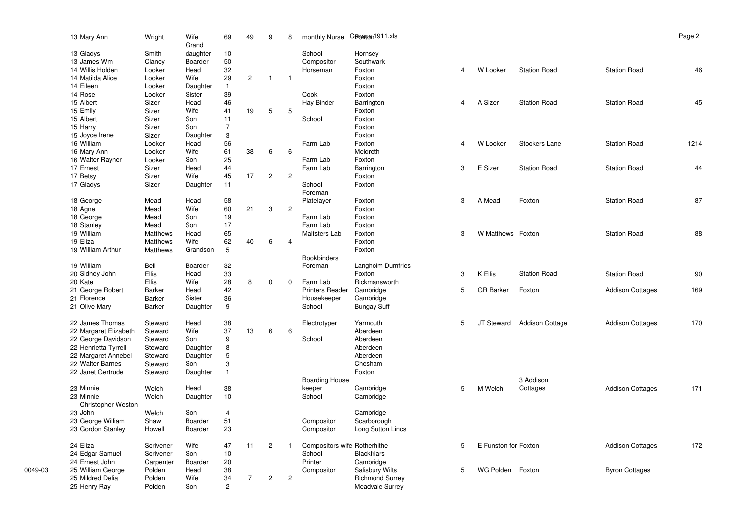| 13 Mary Ann               | Wright        | Wife<br>Grand | 69             | 49             | 9              | 8              | monthly Nurse                | Cproston 1911.xls        |   |                      |                        |                         | Page 2 |
|---------------------------|---------------|---------------|----------------|----------------|----------------|----------------|------------------------------|--------------------------|---|----------------------|------------------------|-------------------------|--------|
| 13 Gladys                 | Smith         | daughter      | 10             |                |                |                | School                       | Hornsey                  |   |                      |                        |                         |        |
| 13 James Wm               | Clancy        | Boarder       | 50             |                |                |                | Compositor                   | Southwark                |   |                      |                        |                         |        |
| 14 Willis Holden          | Looker        | Head          | 32             |                |                |                | Horseman                     | Foxton                   | 4 | W Looker             | <b>Station Road</b>    | <b>Station Road</b>     | 46     |
| 14 Matilda Alice          | Looker        | Wife          | 29             | $\overline{2}$ | $\mathbf{1}$   | $\mathbf{1}$   |                              | Foxton                   |   |                      |                        |                         |        |
| 14 Eileen                 | Looker        | Daughter      | $\mathbf{1}$   |                |                |                |                              | Foxton                   |   |                      |                        |                         |        |
| 14 Rose                   | Looker        | Sister        | 39             |                |                |                | Cook                         | Foxton                   |   |                      |                        |                         |        |
| 15 Albert                 | Sizer         | Head          | 46             |                |                |                | Hay Binder                   | Barrington               | 4 | A Sizer              | <b>Station Road</b>    | <b>Station Road</b>     | 45     |
| 15 Emily                  | Sizer         | Wife          | 41             | 19             | 5              | 5              |                              | Foxton                   |   |                      |                        |                         |        |
| 15 Albert                 | Sizer         | Son           | 11             |                |                |                | School                       | Foxton                   |   |                      |                        |                         |        |
| 15 Harry                  | Sizer         | Son           | $\overline{7}$ |                |                |                |                              | Foxton                   |   |                      |                        |                         |        |
| 15 Joyce Irene            | Sizer         | Daughter      | 3              |                |                |                |                              | Foxton                   |   |                      |                        |                         |        |
| 16 William                | Looker        | Head          | 56             |                |                |                | Farm Lab                     | Foxton                   | 4 | W Looker             | Stockers Lane          | <b>Station Road</b>     | 1214   |
| 16 Mary Ann               | Looker        | Wife          | 61             | 38             | 6              | 6              |                              | Meldreth                 |   |                      |                        |                         |        |
| 16 Walter Rayner          | Looker        | Son           | 25             |                |                |                | Farm Lab                     | Foxton                   |   |                      |                        |                         |        |
| 17 Ernest                 | Sizer         | Head          | 44             |                |                |                | Farm Lab                     | Barrington               | 3 | E Sizer              | <b>Station Road</b>    | <b>Station Road</b>     | 44     |
| 17 Betsy                  | Sizer         | Wife          | 45             | 17             | $\mathbf{2}$   | $\overline{c}$ |                              | Foxton                   |   |                      |                        |                         |        |
| 17 Gladys                 | Sizer         | Daughter      | 11             |                |                |                | School                       | Foxton                   |   |                      |                        |                         |        |
|                           |               |               |                |                |                |                | Foreman                      |                          |   |                      |                        |                         |        |
| 18 George                 | Mead          | Head          | 58             |                |                |                | Platelayer                   | Foxton                   | 3 | A Mead               | Foxton                 | <b>Station Road</b>     | 87     |
| 18 Agne                   | Mead          | Wife          | 60             | 21             | 3              | $\overline{2}$ |                              | Foxton                   |   |                      |                        |                         |        |
| 18 George                 | Mead          | Son           | 19             |                |                |                | Farm Lab                     | Foxton                   |   |                      |                        |                         |        |
| 18 Stanley                | Mead          | Son           | 17             |                |                |                | Farm Lab                     | Foxton                   |   |                      |                        |                         |        |
| 19 William                | Matthews      | Head          | 65             |                |                |                | Maltsters Lab                | Foxton                   | 3 | W Matthews Foxton    |                        | <b>Station Road</b>     | 88     |
| 19 Eliza                  | Matthews      | Wife          | 62             | 40             | 6              | $\overline{4}$ |                              | Foxton                   |   |                      |                        |                         |        |
| 19 William Arthur         | Matthews      | Grandson      | 5              |                |                |                |                              | Foxton                   |   |                      |                        |                         |        |
|                           |               |               |                |                |                |                | <b>Bookbinders</b>           |                          |   |                      |                        |                         |        |
| 19 William                | Bell          | Boarder       | 32             |                |                |                | Foreman                      | <b>Langholm Dumfries</b> |   |                      |                        |                         |        |
| 20 Sidney John            | Ellis         | Head          | 33             |                |                |                |                              | Foxton                   | 3 | K Ellis              | <b>Station Road</b>    | <b>Station Road</b>     | 90     |
| 20 Kate                   | Ellis         | Wife          | 28             | 8              | 0              | 0              | Farm Lab                     | Rickmansworth            |   |                      |                        |                         |        |
| 21 George Robert          | Barker        | Head          | 42             |                |                |                | <b>Printers Reader</b>       | Cambridge                | 5 | <b>GR Barker</b>     | Foxton                 | <b>Addison Cottages</b> | 169    |
| 21 Florence               | Barker        | Sister        | 36             |                |                |                | Housekeeper                  | Cambridge                |   |                      |                        |                         |        |
| 21 Olive Mary             | <b>Barker</b> | Daughter      | 9              |                |                |                | School                       | <b>Bungay Suff</b>       |   |                      |                        |                         |        |
| 22 James Thomas           | Steward       | Head          | 38             |                |                |                | Electrotyper                 | Yarmouth                 | 5 | JT Steward           | <b>Addison Cottage</b> | <b>Addison Cottages</b> | 170    |
| 22 Margaret Elizabeth     | Steward       | Wife          | 37             | 13             | 6              | 6              |                              | Aberdeen                 |   |                      |                        |                         |        |
| 22 George Davidson        | Steward       | Son           | 9              |                |                |                | School                       | Aberdeen                 |   |                      |                        |                         |        |
| 22 Henrietta Tyrrell      | Steward       | Daughter      | 8              |                |                |                |                              | Aberdeen                 |   |                      |                        |                         |        |
| 22 Margaret Annebel       | Steward       | Daughter      | 5              |                |                |                |                              | Aberdeen                 |   |                      |                        |                         |        |
| 22 Walter Barnes          | Steward       | Son           | 3              |                |                |                |                              | Chesham                  |   |                      |                        |                         |        |
| 22 Janet Gertrude         | Steward       | Daughter      | $\mathbf{1}$   |                |                |                |                              | Foxton                   |   |                      |                        |                         |        |
|                           |               |               |                |                |                |                | <b>Boarding House</b>        |                          |   |                      | 3 Addison              |                         |        |
| 23 Minnie                 | Welch         | Head          | 38             |                |                |                | keeper                       | Cambridge                | 5 | M Welch              | Cottages               | <b>Addison Cottages</b> | 171    |
| 23 Minnie                 | Welch         | Daughter      | 10             |                |                |                | School                       | Cambridge                |   |                      |                        |                         |        |
| <b>Christopher Weston</b> |               |               |                |                |                |                |                              |                          |   |                      |                        |                         |        |
| 23 John                   | Welch         | Son           | 4              |                |                |                |                              | Cambridge                |   |                      |                        |                         |        |
| 23 George William         | Shaw          | Boarder       | 51             |                |                |                | Compositor                   | Scarborough              |   |                      |                        |                         |        |
| 23 Gordon Stanley         | Howell        | Boarder       | 23             |                |                |                | Compositor                   | Long Sutton Lincs        |   |                      |                        |                         |        |
| 24 Eliza                  | Scrivener     | Wife          | 47             | 11             | $\overline{c}$ | $\mathbf{1}$   | Compositors wife Rotherhithe |                          | 5 | E Funston for Foxton |                        | <b>Addison Cottages</b> | 172    |
| 24 Edgar Samuel           | Scrivener     | Son           | 10             |                |                |                | School                       | <b>Blackfriars</b>       |   |                      |                        |                         |        |
| 24 Ernest John            | Carpenter     | Boarder       | 20             |                |                |                | Printer                      | Cambridge                |   |                      |                        |                         |        |
| 25 William George         | Polden        | Head          | 38             |                |                |                | Compositor                   | <b>Salisbury Wilts</b>   | 5 | WG Polden Foxton     |                        | <b>Byron Cottages</b>   |        |
| 25 Mildred Delia          | Polden        | Wife          | 34             | $\overline{7}$ | $\overline{2}$ | $\overline{2}$ |                              | <b>Richmond Surrey</b>   |   |                      |                        |                         |        |
| 25 Henry Ray              | Polden        | Son           | $\overline{2}$ |                |                |                |                              | Meadvale Surrey          |   |                      |                        |                         |        |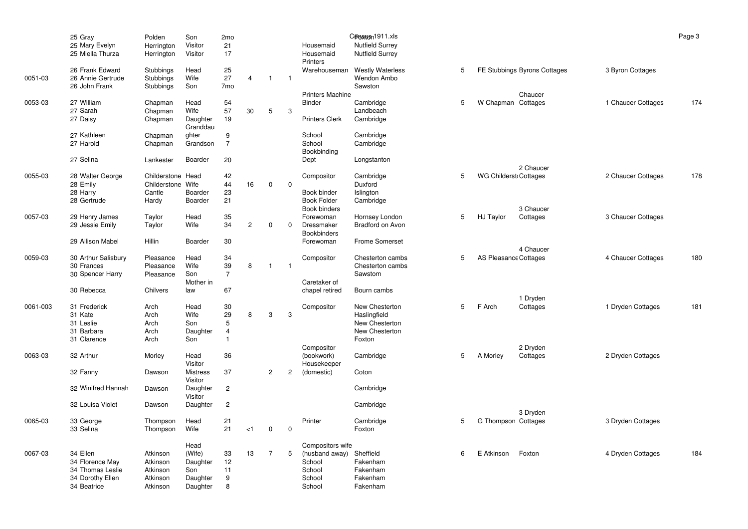|          | 25 Gray             | Polden            | Son                        | 2mo            |                |                |                |                              | Cproston 1911.xls       |   |                              |                              |                    | Page 3 |
|----------|---------------------|-------------------|----------------------------|----------------|----------------|----------------|----------------|------------------------------|-------------------------|---|------------------------------|------------------------------|--------------------|--------|
|          | 25 Mary Evelyn      | Herrington        | Visitor                    | 21             |                |                |                | Housemaid                    | <b>Nutfield Surrey</b>  |   |                              |                              |                    |        |
|          | 25 Miella Thurza    | Herrington        | Visitor                    | 17             |                |                |                | Housemaid<br><b>Printers</b> | <b>Nutfield Surrey</b>  |   |                              |                              |                    |        |
|          | 26 Frank Edward     | Stubbings         | Head                       | 25             |                |                |                | Warehouseman                 | <b>Westly Waterless</b> | 5 |                              | FE Stubbings Byrons Cottages | 3 Byron Cottages   |        |
| 0051-03  | 26 Annie Gertrude   | Stubbings         | Wife                       | 27             | $\overline{4}$ | $\overline{1}$ | $\overline{1}$ |                              | Wendon Ambo             |   |                              |                              |                    |        |
|          | 26 John Frank       | Stubbings         | Son                        | 7mo            |                |                |                |                              | Sawston                 |   |                              |                              |                    |        |
|          |                     |                   |                            |                |                |                |                | <b>Printers Machine</b>      |                         |   |                              | Chaucer                      |                    |        |
| 0053-03  | 27 William          | Chapman           | Head                       | 54             |                |                |                | <b>Binder</b>                | Cambridge               | 5 | W Chapman Cottages           |                              | 1 Chaucer Cottages | 174    |
|          | 27 Sarah            | Chapman           | Wife                       | 57             | 30             | 5              | 3              |                              | Landbeach               |   |                              |                              |                    |        |
|          | 27 Daisy            | Chapman           | Daughter<br>Granddau       | 19             |                |                |                | <b>Printers Clerk</b>        | Cambridge               |   |                              |                              |                    |        |
|          | 27 Kathleen         | Chapman           | ghter                      | 9              |                |                |                | School                       | Cambridge               |   |                              |                              |                    |        |
|          | 27 Harold           | Chapman           | Grandson                   | $\overline{7}$ |                |                |                | School<br>Bookbinding        | Cambridge               |   |                              |                              |                    |        |
|          | 27 Selina           | Lankester         | Boarder                    | 20             |                |                |                | Dept                         | Longstanton             |   |                              | 2 Chaucer                    |                    |        |
| 0055-03  | 28 Walter George    | Childerstone Head |                            | 42             |                |                |                | Compositor                   | Cambridge               | 5 | <b>WG Childerst Cottages</b> |                              | 2 Chaucer Cottages | 178    |
|          | 28 Emily            | Childerstone Wife |                            | 44             | 16             | 0              | $\mathbf 0$    |                              | Duxford                 |   |                              |                              |                    |        |
|          | 28 Harry            | Cantle            | Boarder                    | 23             |                |                |                | Book binder                  | Islington               |   |                              |                              |                    |        |
|          | 28 Gertrude         | Hardy             | Boarder                    | 21             |                |                |                | <b>Book Folder</b>           | Cambridge               |   |                              |                              |                    |        |
|          |                     |                   |                            |                |                |                |                | Book binders                 |                         |   |                              | 3 Chaucer                    |                    |        |
| 0057-03  | 29 Henry James      | Taylor            | Head                       | 35             |                |                |                | Forewoman                    | Hornsey London          | 5 | HJ Taylor                    | Cottages                     | 3 Chaucer Cottages |        |
|          | 29 Jessie Emily     | Taylor            | Wife                       | 34             | $\mathbf{2}$   | 0              | $\Omega$       | Dressmaker                   | <b>Bradford on Avon</b> |   |                              |                              |                    |        |
|          |                     |                   |                            |                |                |                |                | <b>Bookbinders</b>           |                         |   |                              |                              |                    |        |
|          | 29 Allison Mabel    | Hillin            | <b>Boarder</b>             | 30             |                |                |                | Forewoman                    | <b>Frome Somerset</b>   |   |                              |                              |                    |        |
|          |                     |                   |                            |                |                |                |                |                              |                         |   |                              | 4 Chaucer                    |                    |        |
| 0059-03  | 30 Arthur Salisbury | Pleasance         | Head                       | 34             |                |                |                | Compositor                   | Chesterton cambs        | 5 | AS Pleasance Cottages        |                              | 4 Chaucer Cottages | 180    |
|          | 30 Frances          | Pleasance         | Wife                       | 39             | 8              | $\overline{1}$ | $\mathbf{1}$   |                              | Chesterton cambs        |   |                              |                              |                    |        |
|          | 30 Spencer Harry    | Pleasance         | Son                        | $\overline{7}$ |                |                |                |                              | Sawstom                 |   |                              |                              |                    |        |
|          |                     |                   | Mother in                  |                |                |                |                | Caretaker of                 |                         |   |                              |                              |                    |        |
|          | 30 Rebecca          | Chilvers          | law                        | 67             |                |                |                | chapel retired               | Bourn cambs             |   |                              |                              |                    |        |
|          |                     |                   |                            |                |                |                |                |                              |                         |   |                              | 1 Dryden                     |                    |        |
| 0061-003 | 31 Frederick        | Arch              | Head                       | 30             |                |                |                | Compositor                   | New Chesterton          | 5 | F Arch                       | Cottages                     | 1 Dryden Cottages  | 181    |
|          | 31 Kate             | Arch              | Wife                       | 29             | 8              | 3              | 3              |                              | Haslingfield            |   |                              |                              |                    |        |
|          | 31 Leslie           | Arch              | Son                        | 5              |                |                |                |                              | New Chesterton          |   |                              |                              |                    |        |
|          | 31 Barbara          | Arch              | Daughter                   | $\overline{4}$ |                |                |                |                              | New Chesterton          |   |                              |                              |                    |        |
|          | 31 Clarence         | Arch              | Son                        | $\mathbf{1}$   |                |                |                |                              | Foxton                  |   |                              |                              |                    |        |
|          |                     |                   |                            |                |                |                |                | Compositor                   |                         |   |                              | 2 Dryden                     |                    |        |
| 0063-03  | 32 Arthur           | Morley            | Head<br>Visitor            | 36             |                |                |                | (bookwork)<br>Housekeeper    | Cambridge               | 5 | A Morley                     | Cottages                     | 2 Dryden Cottages  |        |
|          | 32 Fanny            | Dawson            | <b>Mistress</b><br>Visitor | 37             |                | 2              | 2              | (domestic)                   | Coton                   |   |                              |                              |                    |        |
|          | 32 Winifred Hannah  | Dawson            | Daughter<br>Visitor        | $\overline{c}$ |                |                |                |                              | Cambridge               |   |                              |                              |                    |        |
|          | 32 Louisa Violet    | Dawson            | Daughter                   | $\overline{c}$ |                |                |                |                              | Cambridge               |   |                              | 3 Dryden                     |                    |        |
| 0065-03  | 33 George           | Thompson          | Head                       | 21             |                |                |                | Printer                      | Cambridge               | 5 | G Thompson Cottages          |                              | 3 Dryden Cottages  |        |
|          | 33 Selina           | Thompson          | Wife                       | 21             | < 1            | $\mathbf 0$    | $\mathbf 0$    |                              | Foxton                  |   |                              |                              |                    |        |
|          |                     |                   |                            |                |                |                |                |                              |                         |   |                              |                              |                    |        |
|          |                     |                   | Head                       |                |                |                |                | Compositors wife             |                         |   |                              |                              |                    |        |
| 0067-03  | 34 Ellen            | Atkinson          | (Wife)                     | 33             | 13             | 7              | 5              | (husband away)               | Sheffield               | 6 | E Atkinson                   | Foxton                       | 4 Dryden Cottages  | 184    |
|          | 34 Florence May     | Atkinson          | Daughter                   | 12             |                |                |                | School                       | Fakenham                |   |                              |                              |                    |        |
|          | 34 Thomas Leslie    | Atkinson          | Son                        | 11             |                |                |                | School                       | Fakenham                |   |                              |                              |                    |        |
|          | 34 Dorothy Ellen    | Atkinson          | Daughter                   | 9              |                |                |                | School                       | Fakenham                |   |                              |                              |                    |        |
|          | 34 Beatrice         | Atkinson          | Daughter                   | 8              |                |                |                | School                       | Fakenham                |   |                              |                              |                    |        |
|          |                     |                   |                            |                |                |                |                |                              |                         |   |                              |                              |                    |        |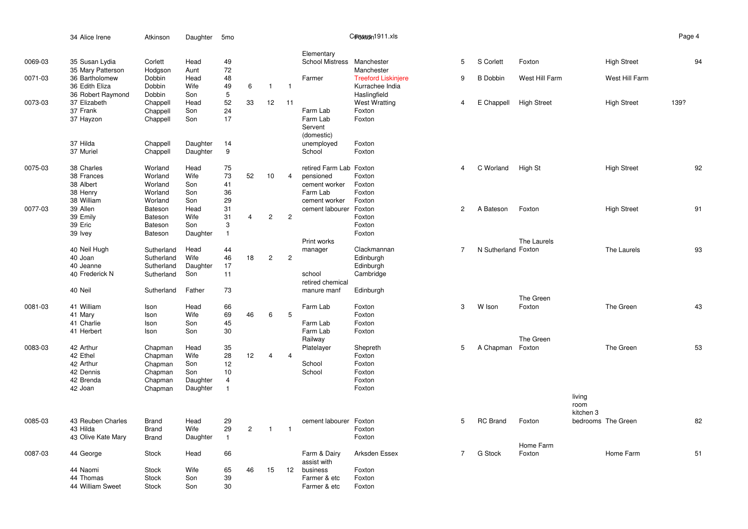|         | 34 Alice Irene                      | Atkinson                 | Daughter     | 5 <sub>mo</sub>         |                |                |                |                            | Cproston 1911.xls          |                |                     |                     |                |                    | Page 4 |
|---------|-------------------------------------|--------------------------|--------------|-------------------------|----------------|----------------|----------------|----------------------------|----------------------------|----------------|---------------------|---------------------|----------------|--------------------|--------|
|         |                                     |                          |              |                         |                |                |                | Elementary                 |                            |                |                     |                     |                |                    |        |
| 0069-03 | 35 Susan Lydia<br>35 Mary Patterson | Corlett<br>Hodgson       | Head<br>Aunt | 49<br>72                |                |                |                | School Mistress Manchester | Manchester                 | 5              | S Corlett           | Foxton              |                | <b>High Street</b> | 94     |
| 0071-03 | 36 Bartholomew                      | Dobbin                   | Head         | 48                      |                |                |                | Farmer                     | <b>Treeford Liskinjere</b> | 9              | <b>B</b> Dobbin     | West Hill Farm      |                | West Hill Farm     |        |
|         | 36 Edith Eliza                      | Dobbin                   | Wife         | 49                      | 6              | $\mathbf{1}$   | $\mathbf{1}$   |                            | Kurrachee India            |                |                     |                     |                |                    |        |
|         | 36 Robert Raymond                   | Dobbin                   | Son          | 5                       |                |                |                |                            | Haslingfield               |                |                     |                     |                |                    |        |
| 0073-03 | 37 Elizabeth                        | Chappell                 | Head         | 52                      | 33             | 12             | 11             |                            | <b>West Wratting</b>       | $\overline{4}$ | E Chappell          | <b>High Street</b>  |                | <b>High Street</b> | 139?   |
|         | 37 Frank<br>37 Hayzon               | Chappell<br>Chappell     | Son<br>Son   | 24<br>17                |                |                |                | Farm Lab<br>Farm Lab       | Foxton<br>Foxton           |                |                     |                     |                |                    |        |
|         |                                     |                          |              |                         |                |                |                | Servent<br>(domestic)      |                            |                |                     |                     |                |                    |        |
|         | 37 Hilda                            | Chappell                 | Daughter     | 14                      |                |                |                | unemployed                 | Foxton                     |                |                     |                     |                |                    |        |
|         | 37 Muriel                           | Chappell                 | Daughter     | $\mathsf g$             |                |                |                | School                     | Foxton                     |                |                     |                     |                |                    |        |
| 0075-03 | 38 Charles                          | Worland                  | Head         | 75                      |                |                |                | retired Farm Lab Foxton    |                            | $\overline{4}$ | C Worland           | High St             |                | <b>High Street</b> | 92     |
|         | 38 Frances                          | Worland                  | Wife         | 73                      | 52             | 10             | $\overline{4}$ | pensioned                  | Foxton                     |                |                     |                     |                |                    |        |
|         | 38 Albert                           | Worland                  | Son          | 41                      |                |                |                | cement worker              | Foxton                     |                |                     |                     |                |                    |        |
|         | 38 Henry<br>38 William              | Worland<br>Worland       | Son<br>Son   | 36<br>29                |                |                |                | Farm Lab<br>cement worker  | Foxton<br>Foxton           |                |                     |                     |                |                    |        |
| 0077-03 | 39 Allen                            | Bateson                  | Head         | 31                      |                |                |                | cement labourer            | Foxton                     | $\mathbf{2}$   | A Bateson           | Foxton              |                | <b>High Street</b> | 91     |
|         | 39 Emily                            | Bateson                  | Wife         | 31                      | $\overline{4}$ | $\overline{c}$ | $\mathbf{2}$   |                            | Foxton                     |                |                     |                     |                |                    |        |
|         | 39 Eric                             | Bateson                  | Son          | 3                       |                |                |                |                            | Foxton                     |                |                     |                     |                |                    |        |
|         | 39 Ivey                             | Bateson                  | Daughter     | $\mathbf{1}$            |                |                |                |                            | Foxton                     |                |                     |                     |                |                    |        |
|         |                                     |                          |              |                         |                |                |                | Print works                |                            |                |                     | The Laurels         |                |                    |        |
|         | 40 Neil Hugh<br>40 Joan             | Sutherland<br>Sutherland | Head<br>Wife | 44<br>46                | 18             | $\overline{c}$ | $\overline{c}$ | manager                    | Clackmannan<br>Edinburgh   | $\overline{7}$ | N Sutherland Foxton |                     |                | The Laurels        | 93     |
|         | 40 Jeanne                           | Sutherland               | Daughter     | 17                      |                |                |                |                            | Edinburgh                  |                |                     |                     |                |                    |        |
|         | 40 Frederick N                      | Sutherland               | Son          | 11                      |                |                |                | school                     | Cambridge                  |                |                     |                     |                |                    |        |
|         |                                     |                          |              |                         |                |                |                | retired chemical           |                            |                |                     |                     |                |                    |        |
|         | 40 Neil                             | Sutherland               | Father       | 73                      |                |                |                | manure manf                | Edinburgh                  |                |                     | The Green           |                |                    |        |
| 0081-03 | 41 William                          | Ison                     | Head         | 66                      |                |                |                | Farm Lab                   | Foxton                     | 3              | W Ison              | Foxton              |                | The Green          | 43     |
|         | 41 Mary                             | Ison                     | Wife         | 69                      | 46             | 6              | 5              |                            | Foxton                     |                |                     |                     |                |                    |        |
|         | 41 Charlie                          | Ison                     | Son          | 45                      |                |                |                | Farm Lab                   | Foxton                     |                |                     |                     |                |                    |        |
|         | 41 Herbert                          | Ison                     | Son          | 30                      |                |                |                | Farm Lab                   | Foxton                     |                |                     |                     |                |                    |        |
| 0083-03 | 42 Arthur                           | Chapman                  | Head         | 35                      |                |                |                | Railway<br>Platelayer      | Shepreth                   | 5              | A Chapman Foxton    | The Green           |                | The Green          | 53     |
|         | 42 Ethel                            | Chapman                  | Wife         | 28                      | 12             | 4              | $\overline{4}$ |                            | Foxton                     |                |                     |                     |                |                    |        |
|         | 42 Arthur                           | Chapman                  | Son          | 12                      |                |                |                | School                     | Foxton                     |                |                     |                     |                |                    |        |
|         | 42 Dennis                           | Chapman                  | Son          | 10                      |                |                |                | School                     | Foxton                     |                |                     |                     |                |                    |        |
|         | 42 Brenda                           | Chapman                  | Daughter     | $\overline{\mathbf{4}}$ |                |                |                |                            | Foxton                     |                |                     |                     |                |                    |        |
|         | 42 Joan                             | Chapman                  | Daughter     | $\mathbf{1}$            |                |                |                |                            | Foxton                     |                |                     |                     |                |                    |        |
|         |                                     |                          |              |                         |                |                |                |                            |                            |                |                     |                     | living<br>room |                    |        |
|         |                                     |                          |              |                         |                |                |                |                            |                            |                |                     |                     | kitchen 3      |                    |        |
| 0085-03 | 43 Reuben Charles                   | Brand                    | Head         | 29                      |                |                |                | cement labourer            | Foxton                     | 5              | <b>RC</b> Brand     | Foxton              |                | bedrooms The Green | 82     |
|         | 43 Hilda                            | Brand                    | Wife         | 29                      | $\overline{2}$ | $\overline{1}$ | $\overline{1}$ |                            | Foxton                     |                |                     |                     |                |                    |        |
|         | 43 Olive Kate Mary                  | Brand                    | Daughter     | $\mathbf{1}$            |                |                |                |                            | Foxton                     |                |                     |                     |                |                    |        |
| 0087-03 | 44 George                           | Stock                    | Head         | 66                      |                |                |                | Farm & Dairy               | Arksden Essex              | $\overline{7}$ | <b>G</b> Stock      | Home Farm<br>Foxton |                | Home Farm          | 51     |
|         |                                     |                          |              |                         |                |                |                | assist with                |                            |                |                     |                     |                |                    |        |
|         | 44 Naomi                            | <b>Stock</b>             | Wife         | 65                      | 46             | 15             | 12             | business                   | Foxton                     |                |                     |                     |                |                    |        |
|         | 44 Thomas                           | <b>Stock</b>             | Son          | 39                      |                |                |                | Farmer & etc               | Foxton                     |                |                     |                     |                |                    |        |
|         | 44 William Sweet                    | Stock                    | Son          | 30                      |                |                |                | Farmer & etc               | Foxton                     |                |                     |                     |                |                    |        |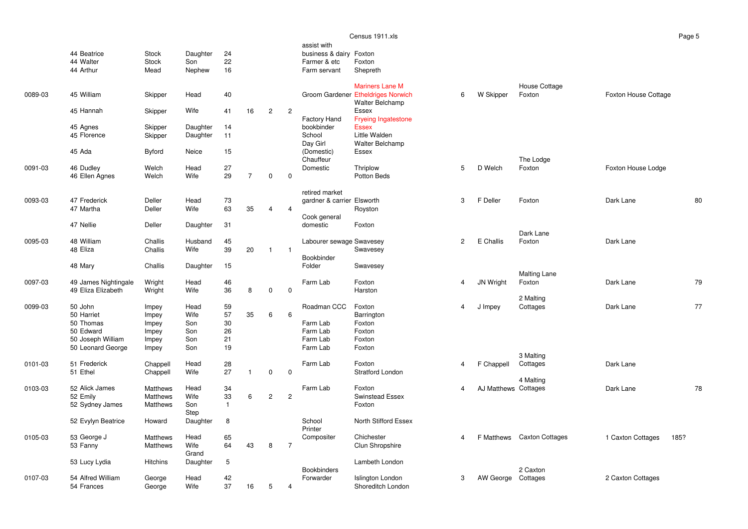|         |                         |                    |                      |              |                |                |                |                                        | Census 1911.xls                                              |                |                      |                            |                           | Page 5 |
|---------|-------------------------|--------------------|----------------------|--------------|----------------|----------------|----------------|----------------------------------------|--------------------------------------------------------------|----------------|----------------------|----------------------------|---------------------------|--------|
|         | 44 Beatrice             | <b>Stock</b>       | Daughter             | 24           |                |                |                | assist with<br>business & dairy Foxton |                                                              |                |                      |                            |                           |        |
|         | 44 Walter               | <b>Stock</b>       | Son                  | 22           |                |                |                | Farmer & etc                           | Foxton                                                       |                |                      |                            |                           |        |
|         | 44 Arthur               | Mead               | Nephew               | 16           |                |                |                | Farm servant                           | Shepreth                                                     |                |                      |                            |                           |        |
|         |                         |                    |                      |              |                |                |                |                                        | <b>Mariners Lane M</b>                                       |                |                      | House Cottage              |                           |        |
| 0089-03 | 45 William              | Skipper            | Head                 | 40           |                |                |                |                                        | Groom Gardener Etheldriges Norwich<br><b>Walter Belchamp</b> | 6              | W Skipper            | Foxton                     | Foxton House Cottage      |        |
|         | 45 Hannah               | Skipper            | Wife                 | 41           | 16             | $\overline{2}$ | $\overline{2}$ |                                        | Essex                                                        |                |                      |                            |                           |        |
|         |                         |                    |                      |              |                |                |                | Factory Hand                           | <b>Fryeing Ingatestone</b>                                   |                |                      |                            |                           |        |
|         | 45 Agnes<br>45 Florence | Skipper<br>Skipper | Daughter<br>Daughter | 14<br>11     |                |                |                | bookbinder<br>School                   | <b>Essex</b><br>Little Walden                                |                |                      |                            |                           |        |
|         |                         |                    |                      |              |                |                |                | Day Girl                               | <b>Walter Belchamp</b>                                       |                |                      |                            |                           |        |
|         | 45 Ada                  | Byford             | Neice                | 15           |                |                |                | (Domestic)<br>Chauffeur                | Essex                                                        |                |                      | The Lodge                  |                           |        |
| 0091-03 | 46 Dudley               | Welch              | Head                 | 27           |                |                |                | Domestic                               | Thriplow                                                     | 5              | D Welch              | Foxton                     | Foxton House Lodge        |        |
|         | 46 Ellen Agnes          | Welch              | Wife                 | 29           | $\overline{7}$ | $\mathbf 0$    | $\mathbf 0$    |                                        | Potton Beds                                                  |                |                      |                            |                           |        |
|         |                         |                    |                      |              |                |                |                | retired market                         |                                                              |                |                      |                            |                           |        |
| 0093-03 | 47 Frederick            | Deller             | Head                 | 73           |                |                |                | gardner & carrier Elsworth             |                                                              | 3              | F Deller             | Foxton                     | Dark Lane                 | 80     |
|         | 47 Martha               | Deller             | Wife                 | 63           | 35             | $\overline{4}$ | $\overline{4}$ |                                        | Royston                                                      |                |                      |                            |                           |        |
|         | 47 Nellie               | Deller             | Daughter             | 31           |                |                |                | Cook general<br>domestic               | Foxton                                                       |                |                      |                            |                           |        |
|         |                         |                    |                      |              |                |                |                |                                        |                                                              |                |                      | Dark Lane                  |                           |        |
| 0095-03 | 48 William              | Challis            | Husband              | 45           |                |                |                | Labourer sewage Swavesey               |                                                              | $\overline{2}$ | E Challis            | Foxton                     | Dark Lane                 |        |
|         | 48 Eliza                | Challis            | Wife                 | 39           | 20             | $\overline{1}$ | $\overline{1}$ |                                        | Swavesey                                                     |                |                      |                            |                           |        |
|         | 48 Mary                 | Challis            | Daughter             | 15           |                |                |                | Bookbinder<br>Folder                   | Swavesey                                                     |                |                      |                            |                           |        |
|         |                         |                    |                      |              |                |                |                |                                        |                                                              |                |                      | <b>Malting Lane</b>        |                           |        |
| 0097-03 | 49 James Nightingale    | Wright             | Head                 | 46           |                |                |                | Farm Lab                               | Foxton                                                       | 4              | JN Wright            | Foxton                     | Dark Lane                 | 79     |
|         | 49 Eliza Elizabeth      | Wright             | Wife                 | 36           | 8              | 0              | $\pmb{0}$      |                                        | Harston                                                      |                |                      | 2 Malting                  |                           |        |
| 0099-03 | 50 John                 | Impey              | Head                 | 59           |                |                |                | Roadman CCC                            | Foxton                                                       | 4              | J Impey              | Cottages                   | Dark Lane                 | 77     |
|         | 50 Harriet              | Impey              | Wife                 | 57           | 35             | 6              | 6              |                                        | Barrington                                                   |                |                      |                            |                           |        |
|         | 50 Thomas               | Impey              | Son                  | 30           |                |                |                | Farm Lab                               | Foxton                                                       |                |                      |                            |                           |        |
|         | 50 Edward               | Impey              | Son                  | 26           |                |                |                | Farm Lab                               | Foxton                                                       |                |                      |                            |                           |        |
|         | 50 Joseph William       | Impey              | Son                  | 21<br>19     |                |                |                | Farm Lab<br>Farm Lab                   | Foxton                                                       |                |                      |                            |                           |        |
|         | 50 Leonard George       | Impey              | Son                  |              |                |                |                |                                        | Foxton                                                       |                |                      | 3 Malting                  |                           |        |
| 0101-03 | 51 Frederick            | Chappell           | Head                 | 28           |                |                |                | Farm Lab                               | Foxton                                                       | 4              | F Chappell           | Cottages                   | Dark Lane                 |        |
|         | 51 Ethel                | Chappell           | Wife                 | 27           | $\mathbf{1}$   | $\mathbf 0$    | $\mathbf 0$    |                                        | <b>Stratford London</b>                                      |                |                      |                            |                           |        |
| 0103-03 | 52 Alick James          | Matthews           | Head                 | 34           |                |                |                | Farm Lab                               | Foxton                                                       | 4              | AJ Matthews Cottages | 4 Malting                  | Dark Lane                 | 78     |
|         | 52 Emily                | Matthews           | Wife                 | 33           | 6              | $\mathbf{2}$   | $\overline{2}$ |                                        | Swinstead Essex                                              |                |                      |                            |                           |        |
|         | 52 Sydney James         | Matthews           | Son                  | $\mathbf{1}$ |                |                |                |                                        | Foxton                                                       |                |                      |                            |                           |        |
|         |                         |                    | Step                 |              |                |                |                |                                        |                                                              |                |                      |                            |                           |        |
|         | 52 Evylyn Beatrice      | Howard             | Daughter             | 8            |                |                |                | School<br>Printer                      | North Stifford Essex                                         |                |                      |                            |                           |        |
| 0105-03 | 53 George J             | Matthews           | Head                 | 65           |                |                |                | Compositer                             | Chichester                                                   | 4              |                      | F Matthews Caxton Cottages | 1 Caxton Cottages<br>185? |        |
|         | 53 Fanny                | Matthews           | Wife                 | 64           | 43             | 8              | $\overline{7}$ |                                        | Clun Shropshire                                              |                |                      |                            |                           |        |
|         |                         |                    | Grand                |              |                |                |                |                                        |                                                              |                |                      |                            |                           |        |
|         | 53 Lucy Lydia           | Hitchins           | Daughter             | 5            |                |                |                | <b>Bookbinders</b>                     | Lambeth London                                               |                |                      | 2 Caxton                   |                           |        |
| 0107-03 | 54 Alfred William       | George             | Head                 | 42           |                |                |                | Forwarder                              | Islington London                                             | 3              | AW George Cottages   |                            | 2 Caxton Cottages         |        |
|         | 54 Frances              | George             | Wife                 | 37           | 16             | 5              | $\overline{4}$ |                                        | Shoreditch London                                            |                |                      |                            |                           |        |
|         |                         |                    |                      |              |                |                |                |                                        |                                                              |                |                      |                            |                           |        |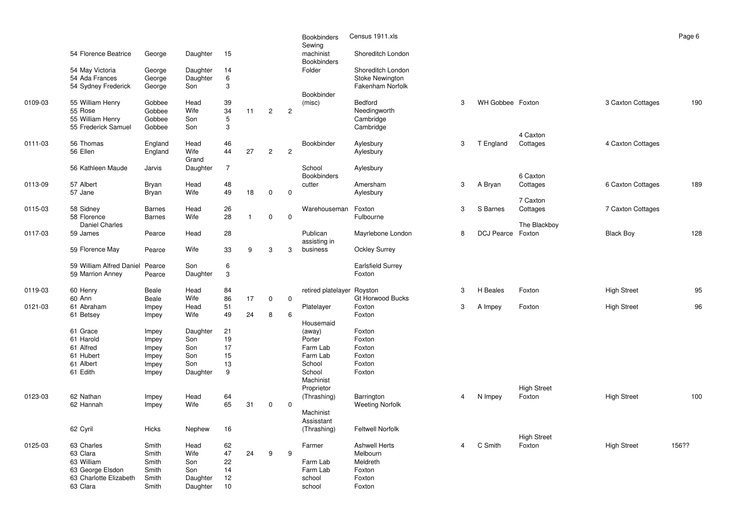|         | 54 Florence Beatrice                                                               | George                                    | Daughter                               | 15                         |              |                |                | <b>Bookbinders</b><br>Sewing<br>machinist<br><b>Bookbinders</b> | Census 1911.xls<br>Shoreditch London                             |   |                   |                    |                    | Page 6 |
|---------|------------------------------------------------------------------------------------|-------------------------------------------|----------------------------------------|----------------------------|--------------|----------------|----------------|-----------------------------------------------------------------|------------------------------------------------------------------|---|-------------------|--------------------|--------------------|--------|
|         | 54 May Victoria<br>54 Ada Frances<br>54 Sydney Frederick                           | George<br>George<br>George                | Daughter<br>Daughter<br>Son            | 14<br>$\,6$<br>3           |              |                |                | Folder                                                          | Shoreditch London<br><b>Stoke Newington</b><br>Fakenham Norfolk  |   |                   |                    |                    |        |
| 0109-03 | 55 William Henry<br>55 Rose<br>55 William Henry                                    | Gobbee<br>Gobbee<br>Gobbee                | Head<br>Wife<br>Son                    | 39<br>34<br>5              | 11           | $\overline{c}$ | $\overline{c}$ | Bookbinder<br>(misc)                                            | Bedford<br>Needingworth<br>Cambridge                             | 3 | WH Gobbee Foxton  |                    | 3 Caxton Cottages  | 190    |
|         | 55 Frederick Samuel                                                                | Gobbee                                    | Son                                    | 3                          |              |                |                |                                                                 | Cambridge                                                        |   |                   | 4 Caxton           |                    |        |
| 0111-03 | 56 Thomas<br>56 Ellen                                                              | England<br>England                        | Head<br>Wife<br>Grand                  | 46<br>44                   | 27           | $\overline{2}$ | $\overline{2}$ | Bookbinder                                                      | Aylesbury<br>Aylesbury                                           | 3 | T England         | Cottages           | 4 Caxton Cottages  |        |
|         | 56 Kathleen Maude                                                                  | Jarvis                                    | Daughter                               | $\overline{7}$             |              |                |                | School<br><b>Bookbinders</b>                                    | Aylesbury                                                        |   |                   | 6 Caxton           |                    |        |
| 0113-09 | 57 Albert<br>57 Jane                                                               | Bryan<br>Bryan                            | Head<br>Wife                           | 48<br>49                   | 18           | $\mathbf 0$    | $\mathbf 0$    | cutter                                                          | Amersham<br>Aylesbury                                            | 3 | A Bryan           | Cottages           | 6 Caxton Cottages  | 189    |
|         |                                                                                    |                                           |                                        |                            |              |                |                |                                                                 |                                                                  |   |                   | 7 Caxton           |                    |        |
| 0115-03 | 58 Sidney<br>58 Florence                                                           | <b>Barnes</b><br><b>Barnes</b>            | Head<br>Wife                           | 26<br>28                   | $\mathbf{1}$ | $\mathsf 0$    | $\mathbf 0$    | Warehouseman                                                    | Foxton<br>Fulbourne                                              | 3 | S Barnes          | Cottages           | 7 Caxton Cottages  |        |
| 0117-03 | <b>Daniel Charles</b><br>59 James                                                  | Pearce                                    | Head                                   | 28                         |              |                |                | Publican<br>assisting in                                        | Mayrlebone London                                                | 8 | DCJ Pearce Foxton | The Blackboy       | <b>Black Boy</b>   | 128    |
|         | 59 Florence May                                                                    | Pearce                                    | Wife                                   | 33                         | 9            | 3              | 3              | business                                                        | <b>Ockley Surrey</b>                                             |   |                   |                    |                    |        |
|         | 59 William Alfred Daniel Pearce<br>59 Marrion Anney                                | Pearce                                    | Son<br>Daughter                        | 6<br>3                     |              |                |                |                                                                 | <b>Earlsfield Surrey</b><br>Foxton                               |   |                   |                    |                    |        |
| 0119-03 | 60 Henry<br>60 Ann                                                                 | Beale<br>Beale                            | Head<br>Wife                           | 84<br>86                   | 17           | 0              | 0              | retired platelayer                                              | Royston<br>Gt Horwood Bucks                                      | 3 | H Beales          | Foxton             | <b>High Street</b> | 95     |
| 0121-03 | 61 Abraham                                                                         | Impey                                     | Head                                   | 51                         |              |                |                | Platelayer                                                      | Foxton                                                           | 3 | A Impey           | Foxton             | <b>High Street</b> | 96     |
|         | 61 Betsey                                                                          | Impey                                     | Wife                                   | 49                         | 24           | 8              | 6              | Housemaid                                                       | Foxton                                                           |   |                   |                    |                    |        |
|         | 61 Grace                                                                           | Impey                                     | Daughter                               | 21                         |              |                |                | (away)                                                          | Foxton                                                           |   |                   |                    |                    |        |
|         | 61 Harold<br>61 Alfred                                                             | Impey                                     | Son                                    | 19<br>17                   |              |                |                | Porter<br>Farm Lab                                              | Foxton<br>Foxton                                                 |   |                   |                    |                    |        |
|         | 61 Hubert                                                                          | Impey<br>Impey                            | Son<br>Son                             | 15                         |              |                |                | Farm Lab                                                        | Foxton                                                           |   |                   |                    |                    |        |
|         | 61 Albert                                                                          | Impey                                     | Son                                    | 13                         |              |                |                | School                                                          | Foxton                                                           |   |                   |                    |                    |        |
|         | 61 Edith                                                                           | Impey                                     | Daughter                               | 9                          |              |                |                | School<br>Machinist                                             | Foxton                                                           |   |                   |                    |                    |        |
|         |                                                                                    |                                           |                                        |                            |              |                |                | Proprietor                                                      |                                                                  |   |                   | <b>High Street</b> |                    |        |
| 0123-03 | 62 Nathan<br>62 Hannah                                                             | Impey<br>Impey                            | Head<br>Wife                           | 64<br>65                   | 31           | $\mathbf 0$    | $\mathbf 0$    | (Thrashing)                                                     | Barrington<br><b>Weeting Norfolk</b>                             | 4 | N Impey           | Foxton             | <b>High Street</b> | 100    |
|         | 62 Cyril                                                                           | <b>Hicks</b>                              | Nephew                                 | 16                         |              |                |                | Machinist<br>Assisstant<br>(Thrashing)                          | <b>Feltwell Norfolk</b>                                          |   |                   |                    |                    |        |
|         |                                                                                    |                                           |                                        |                            |              |                |                |                                                                 |                                                                  |   |                   | <b>High Street</b> |                    |        |
| 0125-03 | 63 Charles<br>63 Clara<br>63 William<br>63 George Elsdon<br>63 Charlotte Elizabeth | Smith<br>Smith<br>Smith<br>Smith<br>Smith | Head<br>Wife<br>Son<br>Son<br>Daughter | 62<br>47<br>22<br>14<br>12 | 24           | 9              | 9              | Farmer<br>Farm Lab<br>Farm Lab<br>school                        | <b>Ashwell Herts</b><br>Melbourn<br>Meldreth<br>Foxton<br>Foxton | 4 | C Smith           | Foxton             | <b>High Street</b> | 156??  |
|         | 63 Clara                                                                           | Smith                                     | Daughter                               | 10                         |              |                |                | school                                                          | Foxton                                                           |   |                   |                    |                    |        |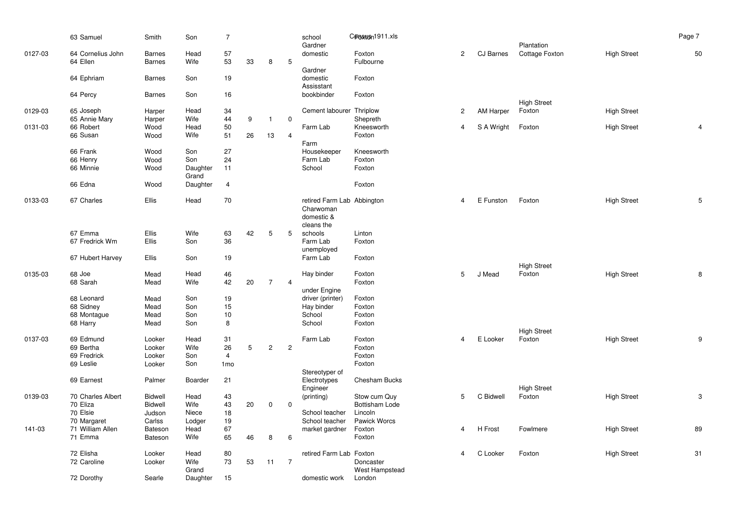|         | 63 Samuel               | Smith          | Son        | $\overline{7}$  |        |                |                | school                         | C <del>pnsusn</del> 1911.xls |                |                  |                    |                    | Page 7 |
|---------|-------------------------|----------------|------------|-----------------|--------|----------------|----------------|--------------------------------|------------------------------|----------------|------------------|--------------------|--------------------|--------|
|         |                         |                |            |                 |        |                |                | Gardner                        |                              |                |                  | Plantation         |                    |        |
| 0127-03 | 64 Cornelius John       | <b>Barnes</b>  | Head       | 57              |        |                |                | domestic                       | Foxton                       | $\overline{2}$ | CJ Barnes        | Cottage Foxton     | <b>High Street</b> | 50     |
|         | 64 Ellen                | <b>Barnes</b>  | Wife       | 53              | 33     | 8              | 5              |                                | Fulbourne                    |                |                  |                    |                    |        |
|         | 64 Ephriam              | <b>Barnes</b>  | Son        | 19              |        |                |                | Gardner<br>domestic            | Foxton                       |                |                  |                    |                    |        |
|         |                         |                |            |                 |        |                |                | Assisstant                     |                              |                |                  |                    |                    |        |
|         | 64 Percy                | <b>Barnes</b>  | Son        | 16              |        |                |                | bookbinder                     | Foxton                       |                |                  |                    |                    |        |
|         |                         |                |            |                 |        |                |                |                                |                              |                |                  | <b>High Street</b> |                    |        |
| 0129-03 | 65 Joseph               | Harper         | Head       | 34              |        |                |                | Cement labourer Thriplow       |                              | $\overline{2}$ | <b>AM Harper</b> | Foxton             | <b>High Street</b> |        |
|         | 65 Annie Mary           | Harper         | Wife       | 44              | 9      | $\mathbf{1}$   | $\mathbf 0$    |                                | Shepreth                     |                |                  |                    |                    |        |
| 0131-03 | 66 Robert               | Wood           | Head       | 50              |        |                |                | Farm Lab                       | Kneesworth                   | 4              | S A Wright       | Foxton             | <b>High Street</b> | 4      |
|         | 66 Susan                | Wood           | Wife       | 51              | 26     | 13             | $\overline{4}$ | Farm                           | Foxton                       |                |                  |                    |                    |        |
|         | 66 Frank                | Wood           | Son        | 27              |        |                |                | Housekeeper                    | Kneesworth                   |                |                  |                    |                    |        |
|         | 66 Henry                | Wood           | Son        | 24              |        |                |                | Farm Lab                       | Foxton                       |                |                  |                    |                    |        |
|         | 66 Minnie               | Wood           | Daughter   | 11              |        |                |                | School                         | Foxton                       |                |                  |                    |                    |        |
|         |                         |                | Grand      |                 |        |                |                |                                |                              |                |                  |                    |                    |        |
|         | 66 Edna                 | Wood           | Daughter   | $\overline{4}$  |        |                |                |                                | Foxton                       |                |                  |                    |                    |        |
| 0133-03 | 67 Charles              | Ellis          | Head       | 70              |        |                |                | retired Farm Lab Abbington     |                              | 4              | E Funston        | Foxton             | <b>High Street</b> | 5      |
|         |                         |                |            |                 |        |                |                | Charwoman                      |                              |                |                  |                    |                    |        |
|         |                         |                |            |                 |        |                |                | domestic &                     |                              |                |                  |                    |                    |        |
|         |                         |                |            |                 |        |                |                | cleans the                     |                              |                |                  |                    |                    |        |
|         | 67 Emma                 | Ellis          | Wife       | 63              | 42     | 5              | 5              | schools                        | Linton                       |                |                  |                    |                    |        |
|         | 67 Fredrick Wm          | Ellis          | Son        | 36              |        |                |                | Farm Lab                       | Foxton                       |                |                  |                    |                    |        |
|         | 67 Hubert Harvey        | Ellis          | Son        | 19              |        |                |                | unemployed<br>Farm Lab         | Foxton                       |                |                  |                    |                    |        |
|         |                         |                |            |                 |        |                |                |                                |                              |                |                  | <b>High Street</b> |                    |        |
| 0135-03 | 68 Joe                  | Mead           | Head       | 46              |        |                |                | Hay binder                     | Foxton                       | 5              | J Mead           | Foxton             | <b>High Street</b> |        |
|         | 68 Sarah                | Mead           | Wife       | 42              | 20     | $\overline{7}$ | $\overline{4}$ |                                | Foxton                       |                |                  |                    |                    |        |
|         |                         |                |            |                 |        |                |                | under Engine                   |                              |                |                  |                    |                    |        |
|         | 68 Leonard              | Mead           | Son        | 19              |        |                |                | driver (printer)               | Foxton                       |                |                  |                    |                    |        |
|         | 68 Sidney               | Mead<br>Mead   | Son<br>Son | 15<br>10        |        |                |                | Hay binder<br>School           | Foxton<br>Foxton             |                |                  |                    |                    |        |
|         | 68 Montague<br>68 Harry | Mead           | Son        | $\bf8$          |        |                |                | School                         | Foxton                       |                |                  |                    |                    |        |
|         |                         |                |            |                 |        |                |                |                                |                              |                |                  | <b>High Street</b> |                    |        |
| 0137-03 | 69 Edmund               | Looker         | Head       | 31              |        |                |                | Farm Lab                       | Foxton                       | $\overline{4}$ | E Looker         | Foxton             | <b>High Street</b> | 9      |
|         | 69 Bertha               | Looker         | Wife       | 26              | 5      | $\overline{c}$ | $\sqrt{2}$     |                                | Foxton                       |                |                  |                    |                    |        |
|         | 69 Fredrick             | Looker         | Son        | $\overline{4}$  |        |                |                |                                | Foxton                       |                |                  |                    |                    |        |
|         | 69 Leslie               | Looker         | Son        | 1 <sub>mo</sub> |        |                |                |                                | Foxton                       |                |                  |                    |                    |        |
|         | 69 Earnest              | Palmer         | Boarder    | 21              |        |                |                | Stereotyper of<br>Electrotypes | <b>Chesham Bucks</b>         |                |                  |                    |                    |        |
|         |                         |                |            |                 |        |                |                | Engineer                       |                              |                |                  | <b>High Street</b> |                    |        |
| 0139-03 | 70 Charles Albert       | <b>Bidwell</b> | Head       | 43              |        |                |                | (printing)                     | Stow cum Quy                 | 5              | C Bidwell        | Foxton             | <b>High Street</b> | 3      |
|         | 70 Eliza                | <b>Bidwell</b> | Wife       | 43              | $20\,$ | 0              | $\mathbf 0$    |                                | Bottisham Lode               |                |                  |                    |                    |        |
|         | 70 Elsie                | Judson         | Niece      | 18              |        |                |                | School teacher                 | Lincoln                      |                |                  |                    |                    |        |
|         | 70 Margaret             | Carlss         | Lodger     | 19              |        |                |                | School teacher                 | Pawick Worcs                 |                |                  |                    |                    |        |
| 141-03  | 71 William Allen        | Bateson        | Head       | 67              |        |                |                | market gardner                 | Foxton                       | 4              | H Frost          | Fowlmere           | <b>High Street</b> | 89     |
|         | 71 Emma                 | <b>Bateson</b> | Wife       | 65              | 46     | 8              | 6              |                                | Foxton                       |                |                  |                    |                    |        |
|         | 72 Elisha               | Looker         | Head       | 80              |        |                |                | retired Farm Lab Foxton        |                              | 4              | C Looker         | Foxton             | <b>High Street</b> | 31     |
|         | 72 Caroline             | Looker         | Wife       | 73              | 53     | 11             | $\overline{7}$ |                                | Doncaster                    |                |                  |                    |                    |        |
|         |                         |                | Grand      |                 |        |                |                |                                | West Hampstead               |                |                  |                    |                    |        |
|         | 72 Dorothy              | Searle         | Daughter   | 15              |        |                |                | domestic work                  | London                       |                |                  |                    |                    |        |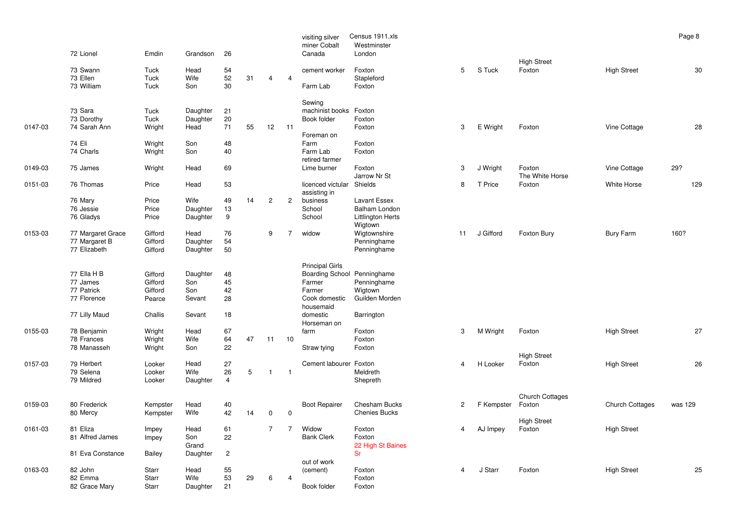|         | 72 Lionel                                                             | Emdin                                              | Grandson                                   | 26                         |    |                |                | visiting silver<br>miner Cobalt<br>Canada                                                                                          | Census 1911.xls<br>Westminster<br>London                      |              |            |                                  |                        | Page 8  |
|---------|-----------------------------------------------------------------------|----------------------------------------------------|--------------------------------------------|----------------------------|----|----------------|----------------|------------------------------------------------------------------------------------------------------------------------------------|---------------------------------------------------------------|--------------|------------|----------------------------------|------------------------|---------|
|         | 73 Swann<br>73 Ellen<br>73 William                                    | Tuck<br>Tuck<br>Tuck                               | Head<br>Wife<br>Son                        | 54<br>52<br>30             | 31 | 4              | 4              | cement worker<br>Farm Lab                                                                                                          | Foxton<br>Stapleford<br>Foxton                                | 5            | S Tuck     | <b>High Street</b><br>Foxton     | <b>High Street</b>     | 30      |
| 0147-03 | 73 Sara<br>73 Dorothy<br>74 Sarah Ann                                 | Tuck<br>Tuck<br>Wright                             | Daughter<br>Daughter<br>Head               | 21<br>20<br>71             | 55 | 12             | 11             | Sewing<br>machinist books<br>Book folder<br>Foreman on                                                                             | Foxton<br>Foxton<br>Foxton                                    | 3            | E Wright   | Foxton                           | Vine Cottage           | 28      |
|         | 74 Eli<br>74 Charls                                                   | Wright<br>Wright                                   | Son<br>Son                                 | 48<br>40                   |    |                |                | Farm<br>Farm Lab<br>retired farmer                                                                                                 | Foxton<br>Foxton                                              |              |            |                                  |                        |         |
| 0149-03 | 75 James                                                              | Wright                                             | Head                                       | 69                         |    |                |                | Lime burner                                                                                                                        | Foxton<br>Jarrow Nr St                                        | 3            | J Wright   | Foxton<br>The White Horse        | Vine Cottage           | 29?     |
| 0151-03 | 76 Thomas                                                             | Price                                              | Head                                       | 53                         |    |                |                | licenced victular<br>assisting in                                                                                                  | Shields                                                       | 8            | T Price    | Foxton                           | White Horse            | 129     |
|         | 76 Mary<br>76 Jessie<br>76 Gladys                                     | Price<br>Price<br>Price                            | Wife<br>Daughter<br>Daughter               | 49<br>13<br>9              | 14 | $\overline{c}$ | $\overline{2}$ | business<br>School<br>School                                                                                                       | Lavant Essex<br>Balham London<br>Littlington Herts<br>Wigtown |              |            |                                  |                        |         |
| 0153-03 | 77 Margaret Grace<br>77 Margaret B<br>77 Elizabeth                    | Gifford<br>Gifford<br>Gifford                      | Head<br>Daughter<br>Daughter               | 76<br>54<br>50             |    | 9              | $\overline{7}$ | widow                                                                                                                              | Wigtownshire<br>Penninghame<br>Penninghame                    | 11           | J Gifford  | Foxton Bury                      | Bury Farm              | 160?    |
|         | 77 Ella H B<br>77 James<br>77 Patrick<br>77 Florence<br>77 Lilly Maud | Gifford<br>Gifford<br>Gifford<br>Pearce<br>Challis | Daughter<br>Son<br>Son<br>Sevant<br>Sevant | 48<br>45<br>42<br>28<br>18 |    |                |                | <b>Principal Girls</b><br>Boarding School Penninghame<br>Farmer<br>Farmer<br>Cook domestic<br>housemaid<br>domestic<br>Horseman on | Penninghame<br>Wigtown<br>Guilden Morden<br>Barrington        |              |            |                                  |                        |         |
| 0155-03 | 78 Benjamin<br>78 Frances<br>78 Manasseh                              | Wright<br>Wright<br>Wright                         | Head<br>Wife<br>Son                        | 67<br>64<br>22             | 47 | 11             | 10             | farm<br>Straw tying                                                                                                                | Foxton<br>Foxton<br>Foxton                                    | 3            | M Wright   | Foxton                           | <b>High Street</b>     | 27      |
| 0157-03 | 79 Herbert<br>79 Selena<br>79 Mildred                                 | Looker<br>Looker<br>Looker                         | Head<br>Wife<br>Daughter                   | 27<br>26<br>$\overline{4}$ | 5  | $\overline{1}$ | $\mathbf{1}$   | Cement labourer                                                                                                                    | Foxton<br>Meldreth<br>Shepreth                                | 4            | H Looker   | <b>High Street</b><br>Foxton     | <b>High Street</b>     | 26      |
| 0159-03 | 80 Frederick<br>80 Mercy                                              | Kempster<br>Kempster                               | Head<br>Wife                               | 40<br>42                   | 14 | 0              | $\mathbf 0$    | <b>Boot Repairer</b>                                                                                                               | <b>Chesham Bucks</b><br><b>Chenies Bucks</b>                  | $\mathbf{2}$ | F Kempster | <b>Church Cottages</b><br>Foxton | <b>Church Cottages</b> | was 129 |
| 0161-03 | 81 Eliza<br>81 Alfred James                                           | Impey<br>Impey                                     | Head<br>Son<br>Grand                       | 61<br>22                   |    | $\overline{7}$ | $\overline{7}$ | Widow<br><b>Bank Clerk</b>                                                                                                         | Foxton<br>Foxton<br>22 High St Baines                         | 4            | AJ Impey   | <b>High Street</b><br>Foxton     | <b>High Street</b>     |         |
|         | 81 Eva Constance                                                      | Bailey                                             | Daughter                                   | $\overline{c}$             |    |                |                | out of work                                                                                                                        | <b>Sr</b>                                                     |              |            |                                  |                        |         |
| 0163-03 | 82 John<br>82 Emma<br>82 Grace Mary                                   | Starr<br>Starr<br>Starr                            | Head<br>Wife<br>Daughter                   | 55<br>53<br>21             | 29 | 6              | $\overline{4}$ | (cement)<br>Book folder                                                                                                            | Foxton<br>Foxton<br>Foxton                                    | 4            | J Starr    | Foxton                           | <b>High Street</b>     | 25      |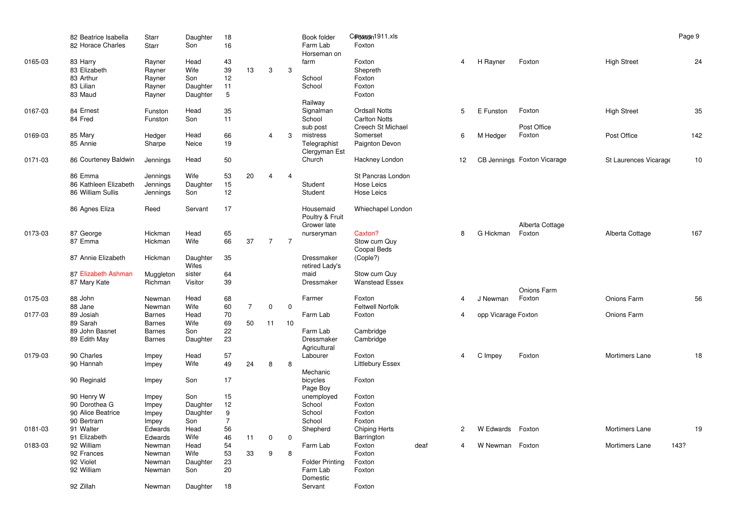|         | 82 Beatrice Isabella<br>82 Horace Charles | <b>Starr</b><br>Starr      | Daughter<br>Son      | 18<br>16       |                |                |                | Book folder<br>Farm Lab<br>Horseman on      | Cproston1911.xls<br>Foxton                                        |      |                |                     |                             |                       | Page 9 |
|---------|-------------------------------------------|----------------------------|----------------------|----------------|----------------|----------------|----------------|---------------------------------------------|-------------------------------------------------------------------|------|----------------|---------------------|-----------------------------|-----------------------|--------|
| 0165-03 | 83 Harry<br>83 Elizabeth<br>83 Arthur     | Rayner<br>Rayner<br>Rayner | Head<br>Wife<br>Son  | 43<br>39<br>12 | 13             | 3              | 3              | farm<br>School                              | Foxton<br>Shepreth<br>Foxton                                      |      | $\overline{4}$ | H Rayner            | Foxton                      | <b>High Street</b>    | 24     |
|         | 83 Lilian<br>83 Maud                      | Rayner<br>Rayner           | Daughter<br>Daughter | 11<br>5        |                |                |                | School<br>Railway                           | Foxton<br>Foxton                                                  |      |                |                     |                             |                       |        |
| 0167-03 | 84 Ernest<br>84 Fred                      | Funston<br>Funston         | Head<br>Son          | 35<br>11       |                |                |                | Signalman<br>School<br>sub post             | <b>Ordsall Notts</b><br><b>Carlton Notts</b><br>Creech St Michael |      | 5              | E Funston           | Foxton<br>Post Office       | <b>High Street</b>    | 35     |
| 0169-03 | 85 Mary<br>85 Annie                       | Hedger<br>Sharpe           | Head<br>Neice        | 66<br>19       |                | 4              | 3              | mistress<br>Telegraphist<br>Clergyman Est   | Somerset<br>Paignton Devon                                        |      | 6              | M Hedger            | Foxton                      | Post Office           | 142    |
| 0171-03 | 86 Courteney Baldwin                      | Jennings                   | Head                 | 50             |                |                |                | Church                                      | Hackney London                                                    |      | 12             |                     | CB Jennings Foxton Vicarage | St Laurences Vicarage | 10     |
|         | 86 Emma<br>86 Kathleen Elizabeth          | Jennings<br>Jennings       | Wife<br>Daughter     | 53<br>15       | 20             | $\overline{4}$ | $\overline{4}$ | Student                                     | St Pancras London<br>Hose Leics                                   |      |                |                     |                             |                       |        |
|         | 86 William Sullis                         | Jennings                   | Son                  | 12             |                |                |                | Student                                     | Hose Leics                                                        |      |                |                     |                             |                       |        |
|         | 86 Agnes Eliza                            | Reed                       | Servant              | 17             |                |                |                | Housemaid<br>Poultry & Fruit<br>Grower late | Whiechapel London                                                 |      |                |                     | Alberta Cottage             |                       |        |
| 0173-03 | 87 George<br>87 Emma                      | Hickman<br>Hickman         | Head<br>Wife         | 65<br>66       | 37             | $\overline{7}$ | $\overline{7}$ | nurseryman                                  | Caxton?<br>Stow cum Quy<br>Coopal Beds                            |      | 8              | G Hickman           | Foxton                      | Alberta Cottage       | 167    |
|         | 87 Annie Elizabeth                        | Hickman                    | Daughter<br>Wifes    | 35             |                |                |                | Dressmaker<br>retired Lady's                | (Cople?)                                                          |      |                |                     |                             |                       |        |
|         | 87 Elizabeth Ashman<br>87 Mary Kate       | Muggleton<br>Richman       | sister<br>Visitor    | 64<br>39       |                |                |                | maid<br>Dressmaker                          | Stow cum Quy<br><b>Wanstead Essex</b>                             |      |                |                     | Onions Farm                 |                       |        |
| 0175-03 | 88 John<br>88 Jane                        | Newman<br>Newman           | Head<br>Wife         | 68<br>60       | $\overline{7}$ | $\mathbf 0$    | $\mathbf 0$    | Farmer                                      | Foxton<br><b>Feltwell Norfolk</b>                                 |      | 4              | J Newman            | Foxton                      | Onions Farm           | 56     |
| 0177-03 | 89 Josiah                                 | <b>Barnes</b>              | Head                 | 70             |                |                |                | Farm Lab                                    | Foxton                                                            |      | 4              | opp Vicarage Foxton |                             | Onions Farm           |        |
|         | 89 Sarah                                  | <b>Barnes</b>              | Wife                 | 69             | 50             | 11             | 10             |                                             |                                                                   |      |                |                     |                             |                       |        |
|         | 89 John Basnet                            | <b>Barnes</b>              | Son                  | 22             |                |                |                | Farm Lab                                    | Cambridge                                                         |      |                |                     |                             |                       |        |
|         | 89 Edith May                              | <b>Barnes</b>              | Daughter             | 23             |                |                |                | Dressmaker<br>Agricultural                  | Cambridge                                                         |      |                |                     |                             |                       |        |
| 0179-03 | 90 Charles                                | Impey                      | Head                 | 57             |                |                |                | Labourer                                    | Foxton                                                            |      | 4              | C Impey             | Foxton                      | Mortimers Lane        | 18     |
|         | 90 Hannah                                 | Impey                      | Wife                 | 49             | 24             | 8              | 8              | Mechanic                                    | <b>Littlebury Essex</b>                                           |      |                |                     |                             |                       |        |
|         | 90 Reginald                               | Impey                      | Son                  | 17             |                |                |                | bicycles<br>Page Boy                        | Foxton                                                            |      |                |                     |                             |                       |        |
|         | 90 Henry W                                | Impey                      | Son                  | 15             |                |                |                | unemployed                                  | Foxton                                                            |      |                |                     |                             |                       |        |
|         | 90 Dorothea G                             | Impey                      | Daughter             | 12             |                |                |                | School                                      | Foxton                                                            |      |                |                     |                             |                       |        |
|         | 90 Alice Beatrice                         | Impey                      | Daughter             | 9              |                |                |                | School                                      | Foxton                                                            |      |                |                     |                             |                       |        |
|         | 90 Bertram                                | Impey                      | Son                  | $\overline{7}$ |                |                |                | School                                      | Foxton                                                            |      |                |                     |                             |                       |        |
| 0181-03 | 91 Walter                                 | Edwards                    | Head                 | 56             |                |                |                | Shepherd                                    | <b>Chiping Herts</b>                                              |      | $\overline{2}$ | W Edwards           | Foxton                      | Mortimers Lane        | 19     |
|         | 91 Elizabeth                              | Edwards                    | Wife                 | 46             | 11             | $\mathbf 0$    | $\mathbf 0$    |                                             | Barrington                                                        |      |                |                     |                             |                       |        |
| 0183-03 | 92 William                                | Newman                     | Head                 | 54             |                |                |                | Farm Lab                                    | Foxton                                                            | deaf | 4              | W Newman            | Foxton                      | Mortimers Lane        | 143?   |
|         | 92 Frances                                | Newman                     | Wife                 | 53             | 33             | 9              | 8              |                                             | Foxton                                                            |      |                |                     |                             |                       |        |
|         | 92 Violet<br>92 William                   | Newman                     | Daughter             | 23<br>20       |                |                |                | <b>Folder Printing</b>                      | Foxton                                                            |      |                |                     |                             |                       |        |
|         |                                           | Newman                     | Son                  |                |                |                |                | Farm Lab<br>Domestic                        | Foxton                                                            |      |                |                     |                             |                       |        |
|         | 92 Zillah                                 | Newman                     | Daughter             | 18             |                |                |                | Servant                                     | Foxton                                                            |      |                |                     |                             |                       |        |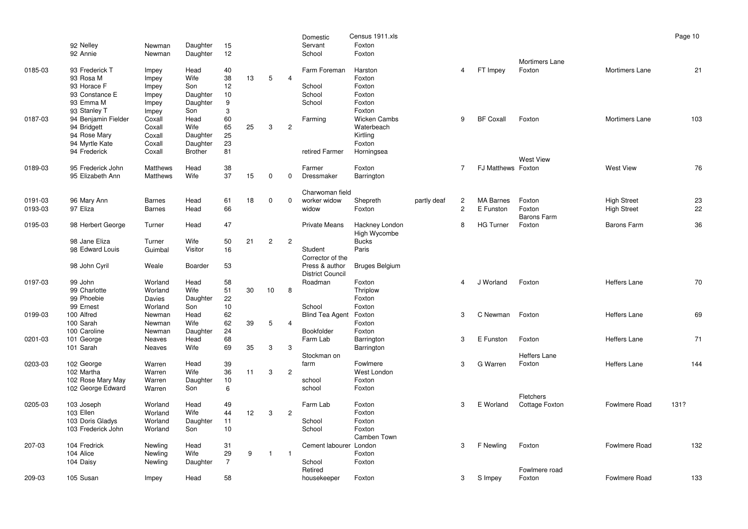|                    | 92 Nelley                                                                                            | Newman                                                  | Daughter                                                      | 15                                 |    |                |                | Domestic<br>Servant                            | Census 1911.xls<br>Foxton                                                |             |                                |                               |                                 |                                          | Page 10  |
|--------------------|------------------------------------------------------------------------------------------------------|---------------------------------------------------------|---------------------------------------------------------------|------------------------------------|----|----------------|----------------|------------------------------------------------|--------------------------------------------------------------------------|-------------|--------------------------------|-------------------------------|---------------------------------|------------------------------------------|----------|
|                    | 92 Annie                                                                                             | Newman                                                  | Daughter                                                      | 12                                 |    |                |                | School                                         | Foxton                                                                   |             |                                |                               |                                 |                                          |          |
| 0185-03            | 93 Frederick T<br>93 Rosa M<br>93 Horace F<br>93 Constance E<br>93 Emma M                            | Impey<br>Impey<br>Impey<br>Impey<br>Impey               | Head<br>Wife<br>Son<br>Daughter<br>Daughter                   | 40<br>38<br>12<br>10<br>9          | 13 | 5              | $\overline{4}$ | Farm Foreman<br>School<br>School<br>School     | Harston<br>Foxton<br>Foxton<br>Foxton<br>Foxton                          |             | $\overline{4}$                 | FT Impey                      | Mortimers Lane<br>Foxton        | Mortimers Lane                           | 21       |
| 0187-03            | 93 Stanley T<br>94 Benjamin Fielder<br>94 Bridgett<br>94 Rose Mary<br>94 Myrtle Kate<br>94 Frederick | Impey<br>Coxall<br>Coxall<br>Coxall<br>Coxall<br>Coxall | Son<br>Head<br>Wife<br>Daughter<br>Daughter<br><b>Brother</b> | 3<br>60<br>65<br>25<br>23<br>81    | 25 | 3              | $\mathbf{2}$   | Farming<br>retired Farmer                      | Foxton<br>Wicken Cambs<br>Waterbeach<br>Kirtling<br>Foxton<br>Horningsea |             | 9                              | <b>BF Coxall</b>              | Foxton                          | <b>Mortimers Lane</b>                    | 103      |
| 0189-03            | 95 Frederick John<br>95 Elizabeth Ann                                                                | <b>Matthews</b><br>Matthews                             | Head<br>Wife                                                  | 38<br>37                           | 15 | $\mathbf 0$    | 0              | Farmer<br>Dressmaker                           | Foxton<br>Barrington                                                     |             | $\overline{7}$                 | <b>FJ Matthews Foxton</b>     | <b>West View</b>                | <b>West View</b>                         | 76       |
|                    |                                                                                                      |                                                         |                                                               |                                    |    |                |                | Charwoman field                                |                                                                          |             |                                |                               |                                 |                                          |          |
| 0191-03<br>0193-03 | 96 Mary Ann<br>97 Eliza                                                                              | Barnes<br><b>Barnes</b>                                 | Head<br>Head                                                  | 61<br>66                           | 18 | $\mathbf 0$    | $\mathbf 0$    | worker widow<br>widow                          | Shepreth<br>Foxton                                                       | partly deaf | $\overline{c}$<br>$\mathbf{2}$ | <b>MA Barnes</b><br>E Funston | Foxton<br>Foxton<br>Barons Farm | <b>High Street</b><br><b>High Street</b> | 23<br>22 |
| 0195-03            | 98 Herbert George                                                                                    | Turner                                                  | Head                                                          | 47                                 |    |                |                | <b>Private Means</b>                           | Hackney London<br>High Wycombe                                           |             | $\mathsf{R}$                   | <b>HG Turner</b>              | Foxton                          | <b>Barons Farm</b>                       | 36       |
|                    | 98 Jane Eliza<br>98 Edward Louis                                                                     | Turner<br>Guimbal                                       | Wife<br>Visitor                                               | 50<br>16                           | 21 | $\overline{2}$ | $\overline{2}$ | Student<br>Corrector of the                    | <b>Bucks</b><br>Paris                                                    |             |                                |                               |                                 |                                          |          |
|                    | 98 John Cyril                                                                                        | Weale                                                   | Boarder                                                       | 53                                 |    |                |                | Press & author<br><b>District Council</b>      | <b>Bruges Belgium</b>                                                    |             |                                |                               |                                 |                                          |          |
| 0197-03            | 99 John<br>99 Charlotte<br>99 Phoebie                                                                | Worland<br>Worland<br>Davies                            | Head<br>Wife<br>Daughter                                      | 58<br>51<br>22                     | 30 | 10             | 8              | Roadman                                        | Foxton<br>Thriplow<br>Foxton                                             |             | 4                              | J Worland                     | Foxton                          | Heffers Lane                             | 70       |
| 0199-03            | 99 Ernest<br>100 Alfred<br>100 Sarah<br>100 Caroline                                                 | Worland<br>Newman<br>Newman<br>Newman                   | Son<br>Head<br>Wife<br>Daughter                               | 10<br>62<br>62<br>24               | 39 | 5              | $\overline{4}$ | School<br><b>Blind Tea Agent</b><br>Bookfolder | Foxton<br>Foxton<br>Foxton<br>Foxton                                     |             | 3                              | C Newman                      | Foxton                          | Heffers Lane                             | 69       |
| 0201-03            | 101 George<br>101 Sarah                                                                              | Neaves<br>Neaves                                        | Head<br>Wife                                                  | 68<br>69                           | 35 | 3              | 3              | Farm Lab                                       | Barrington<br>Barrington                                                 |             | 3                              | E Funston                     | Foxton                          | Heffers Lane                             | 71       |
| 0203-03            | 102 George<br>102 Martha<br>102 Rose Mary May                                                        | Warren<br>Warren<br>Warren                              | Head<br>Wife<br>Daughter                                      | 39<br>36<br>10                     | 11 | 3              | $\overline{2}$ | Stockman on<br>farm<br>school                  | Fowlmere<br>West London<br>Foxton                                        |             | 3                              | G Warren                      | Heffers Lane<br>Foxton          | <b>Heffers Lane</b>                      | 144      |
|                    | 102 George Edward                                                                                    | Warren                                                  | Son                                                           | 6                                  |    |                |                | school                                         | Foxton                                                                   |             |                                |                               | Fletchers                       |                                          |          |
| 0205-03            | 103 Joseph<br>103 Ellen<br>103 Doris Gladys<br>103 Frederick John                                    | Worland<br>Worland<br>Worland<br>Worland                | Head<br>Wife<br>Daughter<br>Son                               | 49<br>44<br>11<br>10 <sup>10</sup> | 12 | 3              | $\overline{2}$ | Farm Lab<br>School<br>School                   | Foxton<br>Foxton<br>Foxton<br>Foxton<br>Camben Town                      |             | 3                              | E Worland                     | Cottage Foxton                  | Fowlmere Road                            | 131?     |
| 207-03             | 104 Fredrick<br>104 Alice<br>104 Daisy                                                               | Newling<br>Newling<br>Newling                           | Head<br>Wife<br>Daughter                                      | 31<br>29<br>$\overline{7}$         | 9  | $\mathbf{1}$   | $\overline{1}$ | Cement labourer London<br>School               | Foxton<br>Foxton                                                         |             | 3                              | F Newling                     | Foxton                          | Fowlmere Road                            | 132      |
| 209-03             | 105 Susan                                                                                            | Impey                                                   | Head                                                          | 58                                 |    |                |                | Retired<br>housekeeper                         | Foxton                                                                   |             | 3                              | S Impey                       | Fowlmere road<br>Foxton         | Fowlmere Road                            | 133      |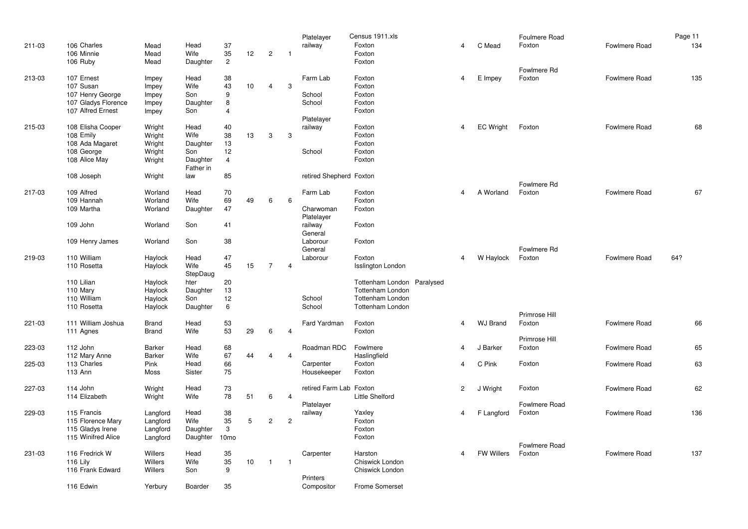|        |                               |                  |                 |                  |    |                |                | Platelayer              | Census 1911.xls                                    |                |                   | Foulmere Road |               | Page 11 |
|--------|-------------------------------|------------------|-----------------|------------------|----|----------------|----------------|-------------------------|----------------------------------------------------|----------------|-------------------|---------------|---------------|---------|
| 211-03 | 106 Charles                   | Mead             | Head            | 37               |    |                |                | railway                 | Foxton                                             | 4              | C Mead            | Foxton        | Fowlmere Road | 134     |
|        | 106 Minnie                    | Mead             | Wife            | 35               | 12 | $\mathbf{2}$   | $\overline{1}$ |                         | Foxton                                             |                |                   |               |               |         |
|        | 106 Ruby                      | Mead             | Daughter        | $\overline{2}$   |    |                |                |                         | Foxton                                             |                |                   |               |               |         |
|        |                               |                  |                 |                  |    |                |                |                         |                                                    |                |                   | Fowlmere Rd   |               |         |
| 213-03 | 107 Ernest                    | Impey            | Head            | 38               |    |                |                | Farm Lab                | Foxton                                             | $\overline{4}$ | E Impey           | Foxton        | Fowlmere Road | 135     |
|        | 107 Susan                     | Impey            | Wife            | 43               | 10 | 4              | 3              |                         | Foxton                                             |                |                   |               |               |         |
|        | 107 Henry George              | Impey            | Son             | 9                |    |                |                | School                  | Foxton                                             |                |                   |               |               |         |
|        | 107 Gladys Florence           | Impey            | Daughter        | 8                |    |                |                | School                  | Foxton                                             |                |                   |               |               |         |
|        | 107 Alfred Ernest             | Impey            | Son             | $\overline{4}$   |    |                |                |                         | Foxton                                             |                |                   |               |               |         |
|        |                               |                  |                 |                  |    |                |                | Platelayer              |                                                    |                |                   |               |               |         |
| 215-03 | 108 Elisha Cooper             | Wright           | Head            | 40               |    |                |                | railway                 | Foxton                                             | $\overline{4}$ | <b>EC Wright</b>  | Foxton        | Fowlmere Road | 68      |
|        | 108 Emily                     | Wright           | Wife            | 38               | 13 | 3              | 3              |                         | Foxton<br>Foxton                                   |                |                   |               |               |         |
|        | 108 Ada Magaret<br>108 George | Wright           | Daughter        | 13<br>12         |    |                |                | School                  | Foxton                                             |                |                   |               |               |         |
|        | 108 Alice May                 | Wright<br>Wright | Son<br>Daughter | $\overline{4}$   |    |                |                |                         | Foxton                                             |                |                   |               |               |         |
|        |                               |                  | Father in       |                  |    |                |                |                         |                                                    |                |                   |               |               |         |
|        | 108 Joseph                    | Wright           | law             | 85               |    |                |                | retired Shepherd Foxton |                                                    |                |                   |               |               |         |
|        |                               |                  |                 |                  |    |                |                |                         |                                                    |                |                   | Fowlmere Rd   |               |         |
| 217-03 | 109 Alfred                    | Worland          | Head            | 70               |    |                |                | Farm Lab                | Foxton                                             | 4              | A Worland         | Foxton        | Fowlmere Road | 67      |
|        | 109 Hannah                    | Worland          | Wife            | 69               | 49 | 6              | 6              |                         | Foxton                                             |                |                   |               |               |         |
|        | 109 Martha                    | Worland          | Daughter        | 47               |    |                |                | Charwoman               | Foxton                                             |                |                   |               |               |         |
|        |                               |                  |                 |                  |    |                |                | Platelayer              |                                                    |                |                   |               |               |         |
|        | 109 John                      | Worland          | Son             | 41               |    |                |                | railway                 | Foxton                                             |                |                   |               |               |         |
|        |                               |                  |                 |                  |    |                |                | General                 |                                                    |                |                   |               |               |         |
|        | 109 Henry James               | Worland          | Son             | 38               |    |                |                | Laborour                | Foxton                                             |                |                   |               |               |         |
|        |                               |                  |                 |                  |    |                |                | General                 |                                                    |                |                   | Fowlmere Rd   |               |         |
| 219-03 | 110 William                   | Haylock          | Head            | 47               |    |                |                | Laborour                | Foxton                                             | $\overline{4}$ | W Haylock         | Foxton        | Fowlmere Road | 64?     |
|        | 110 Rosetta                   | Haylock          | Wife            | 45               | 15 | $\overline{7}$ | $\overline{4}$ |                         | <b>Isslington London</b>                           |                |                   |               |               |         |
|        |                               |                  | StepDaug        |                  |    |                |                |                         |                                                    |                |                   |               |               |         |
|        | 110 Lilian                    | Haylock          | hter            | 20               |    |                |                |                         | Tottenham London Paralysed                         |                |                   |               |               |         |
|        | 110 Mary                      | Haylock          | Daughter        | 13               |    |                |                |                         | <b>Tottenham London</b>                            |                |                   |               |               |         |
|        | 110 William<br>110 Rosetta    | Haylock          | Son<br>Daughter | 12<br>6          |    |                |                | School<br>School        | <b>Tottenham London</b><br><b>Tottenham London</b> |                |                   |               |               |         |
|        |                               | Haylock          |                 |                  |    |                |                |                         |                                                    |                |                   | Primrose Hill |               |         |
| 221-03 | 111 William Joshua            | Brand            | Head            | 53               |    |                |                | Fard Yardman            | Foxton                                             | 4              | <b>WJ Brand</b>   | Foxton        | Fowlmere Road | 66      |
|        | 111 Agnes                     | Brand            | Wife            | 53               | 29 | 6              | $\overline{4}$ |                         | Foxton                                             |                |                   |               |               |         |
|        |                               |                  |                 |                  |    |                |                |                         |                                                    |                |                   | Primrose Hill |               |         |
| 223-03 | 112 John                      | Barker           | Head            | 68               |    |                |                | Roadman RDC             | Fowlmere                                           | 4              | J Barker          | Foxton        | Fowlmere Road | 65      |
|        | 112 Mary Anne                 | Barker           | Wife            | 67               | 44 | 4              | $\overline{4}$ |                         | Haslingfield                                       |                |                   |               |               |         |
| 225-03 | 113 Charles                   | Pink             | Head            | 66               |    |                |                | Carpenter               | Foxton                                             | 4              | C Pink            | Foxton        | Fowlmere Road | 63      |
|        | 113 Ann                       | Moss             | Sister          | 75               |    |                |                | Housekeeper             | Foxton                                             |                |                   |               |               |         |
|        |                               |                  |                 |                  |    |                |                |                         |                                                    |                |                   |               |               |         |
| 227-03 | 114 John                      | Wright           | Head            | 73               |    |                |                | retired Farm Lab Foxton |                                                    | $\overline{2}$ | J Wright          | Foxton        | Fowlmere Road | 62      |
|        | 114 Elizabeth                 | Wright           | Wife            | 78               | 51 | 6              | $\overline{4}$ |                         | <b>Little Shelford</b>                             |                |                   |               |               |         |
|        |                               |                  |                 |                  |    |                |                | Platelayer              |                                                    |                |                   | Fowlmere Road |               |         |
| 229-03 | 115 Francis                   | Langford         | Head            | 38               |    |                |                | railway                 | Yaxley                                             | 4              | F Langford        | Foxton        | Fowlmere Road | 136     |
|        | 115 Florence Mary             | Langford         | Wife            | 35               | 5  | $\mathbf{2}$   | $\overline{c}$ |                         | Foxton                                             |                |                   |               |               |         |
|        | 115 Gladys Irene              | Langford         | Daughter        | 3                |    |                |                |                         | Foxton                                             |                |                   |               |               |         |
|        | 115 Winifred Alice            | Langford         | Daughter        | 10 <sub>mo</sub> |    |                |                |                         | Foxton                                             |                |                   | Fowlmere Road |               |         |
| 231-03 | 116 Fredrick W                | <b>Willers</b>   | Head            | 35               |    |                |                | Carpenter               | Harston                                            | 4              | <b>FW Willers</b> | Foxton        | Fowlmere Road | 137     |
|        | 116 Lily                      | Willers          | Wife            | 35               | 10 | $\mathbf{1}$   | $\overline{1}$ |                         | Chiswick London                                    |                |                   |               |               |         |
|        | 116 Frank Edward              | Willers          | Son             | 9                |    |                |                |                         | Chiswick London                                    |                |                   |               |               |         |
|        |                               |                  |                 |                  |    |                |                | Printers                |                                                    |                |                   |               |               |         |
|        | 116 Edwin                     | Yerbury          | Boarder         | 35               |    |                |                | Compositor              | <b>Frome Somerset</b>                              |                |                   |               |               |         |
|        |                               |                  |                 |                  |    |                |                |                         |                                                    |                |                   |               |               |         |